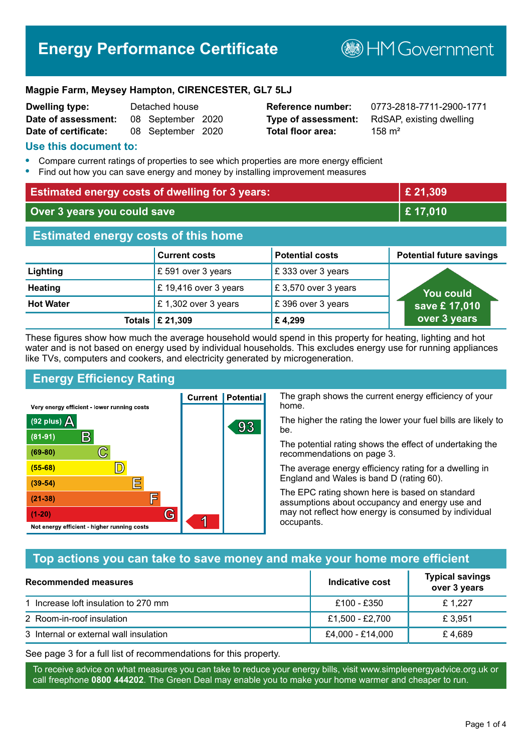# **Energy Performance Certificate**

**B**HM Government

#### **Magpie Farm, Meysey Hampton, CIRENCESTER, GL7 5LJ**

| <b>Dwelling type:</b> | Detached house |                   |  |
|-----------------------|----------------|-------------------|--|
| Date of assessment:   |                | 08 September 2020 |  |
| Date of certificate:  |                | 08 September 2020 |  |

**Total floor area:** 158 m<sup>2</sup>

**Dwelling type:** Detached house **Reference number:** 0773-2818-7711-2900-1771 **Type of assessment:** RdSAP, existing dwelling

#### **Use this document to:**

- **•** Compare current ratings of properties to see which properties are more energy efficient
- **•** Find out how you can save energy and money by installing improvement measures

| <b>Estimated energy costs of dwelling for 3 years:</b> |                       |                        | £ 21,309                        |
|--------------------------------------------------------|-----------------------|------------------------|---------------------------------|
| Over 3 years you could save                            |                       | £17,010                |                                 |
| <b>Estimated energy costs of this home</b>             |                       |                        |                                 |
|                                                        | <b>Current costs</b>  | <b>Potential costs</b> | <b>Potential future savings</b> |
| Lighting                                               | £ 591 over 3 years    | £333 over 3 years      |                                 |
| <b>Heating</b>                                         | £ 19,416 over 3 years | £3,570 over 3 years    | You could                       |
| <b>Hot Water</b>                                       | £1,302 over 3 years   | £396 over 3 years      | save £17,010                    |
| Totals                                                 | £ 21,309              | £4,299                 | over 3 years                    |

These figures show how much the average household would spend in this property for heating, lighting and hot water and is not based on energy used by individual households. This excludes energy use for running appliances like TVs, computers and cookers, and electricity generated by microgeneration.

**Current | Potential** 

93

# **Energy Efficiency Rating**

 $\mathbb{C}$ 

 $\mathbb{D}$ 

E

庐

G

Very energy efficient - lower running costs

 $\mathsf{R}% _{T}$ 

Not energy efficient - higher running costs

 $(92$  plus)

 $(81 - 91)$ 

 $(69 - 80)$ 

 $(55-68)$ 

 $(39 - 54)$ 

 $(21-38)$ 

 $(1-20)$ 

- 70

The graph shows the current energy efficiency of your home.

The higher the rating the lower your fuel bills are likely to be.

The potential rating shows the effect of undertaking the recommendations on page 3.

The average energy efficiency rating for a dwelling in England and Wales is band D (rating 60).

The EPC rating shown here is based on standard assumptions about occupancy and energy use and may not reflect how energy is consumed by individual occupants.

# **Top actions you can take to save money and make your home more efficient**

| Recommended measures                   | Indicative cost  | <b>Typical savings</b><br>over 3 years |
|----------------------------------------|------------------|----------------------------------------|
| 1 Increase loft insulation to 270 mm   | £100 - £350      | £1.227                                 |
| 2 Room-in-roof insulation              | £1,500 - £2,700  | £ 3.951                                |
| 3 Internal or external wall insulation | £4,000 - £14,000 | £4.689                                 |

See page 3 for a full list of recommendations for this property.

To receive advice on what measures you can take to reduce your energy bills, visit www.simpleenergyadvice.org.uk or call freephone **0800 444202**. The Green Deal may enable you to make your home warmer and cheaper to run.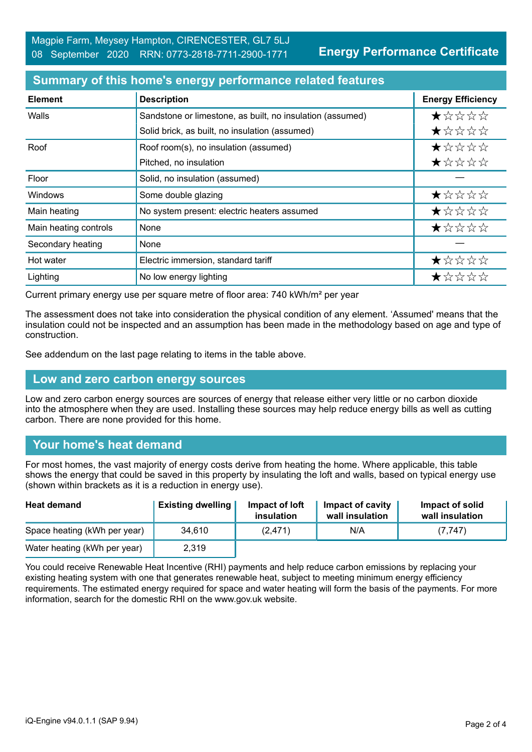**Energy Performance Certificate**

#### **Summary of this home's energy performance related features**

| <b>Element</b>        | <b>Description</b>                                        | <b>Energy Efficiency</b> |
|-----------------------|-----------------------------------------------------------|--------------------------|
| Walls                 | Sandstone or limestone, as built, no insulation (assumed) | *****                    |
|                       | Solid brick, as built, no insulation (assumed)            | ★☆☆☆☆                    |
| Roof                  | Roof room(s), no insulation (assumed)                     | *****                    |
|                       | Pitched, no insulation                                    | ★☆☆☆☆                    |
| Floor                 | Solid, no insulation (assumed)                            |                          |
| <b>Windows</b>        | Some double glazing                                       | ★☆☆☆☆                    |
| Main heating          | No system present: electric heaters assumed               | ★☆☆☆☆                    |
| Main heating controls | None                                                      | *****                    |
| Secondary heating     | None                                                      |                          |
| Hot water             | Electric immersion, standard tariff                       | ★☆☆☆☆                    |
| Lighting              | No low energy lighting                                    | ★☆☆☆☆                    |

Current primary energy use per square metre of floor area: 740 kWh/m² per year

The assessment does not take into consideration the physical condition of any element. 'Assumed' means that the insulation could not be inspected and an assumption has been made in the methodology based on age and type of construction.

See addendum on the last page relating to items in the table above.

#### **Low and zero carbon energy sources**

Low and zero carbon energy sources are sources of energy that release either very little or no carbon dioxide into the atmosphere when they are used. Installing these sources may help reduce energy bills as well as cutting carbon. There are none provided for this home.

# **Your home's heat demand**

For most homes, the vast majority of energy costs derive from heating the home. Where applicable, this table shows the energy that could be saved in this property by insulating the loft and walls, based on typical energy use (shown within brackets as it is a reduction in energy use).

| <b>Heat demand</b>           | <b>Existing dwelling</b> | Impact of loft<br>insulation | Impact of cavity<br>wall insulation | Impact of solid<br>wall insulation |
|------------------------------|--------------------------|------------------------------|-------------------------------------|------------------------------------|
| Space heating (kWh per year) | 34.610                   | (2, 471)                     | N/A                                 | (7, 747)                           |
| Water heating (kWh per year) | 2,319                    |                              |                                     |                                    |

You could receive Renewable Heat Incentive (RHI) payments and help reduce carbon emissions by replacing your existing heating system with one that generates renewable heat, subject to meeting minimum energy efficiency requirements. The estimated energy required for space and water heating will form the basis of the payments. For more information, search for the domestic RHI on the www.gov.uk website.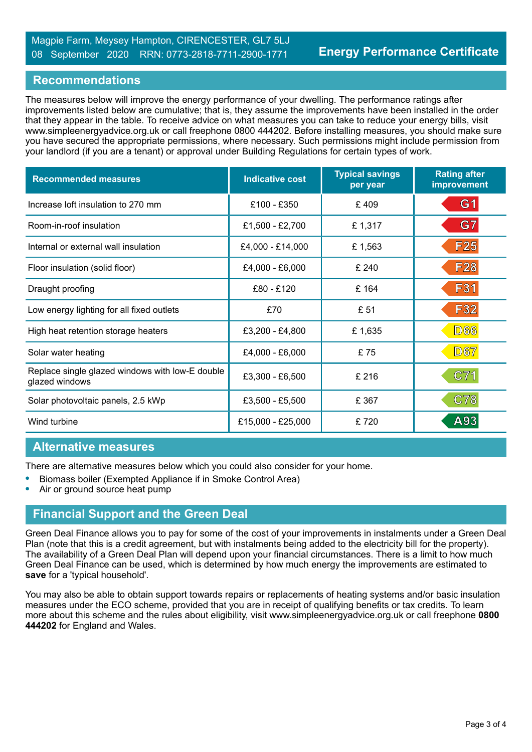## **Recommendations**

The measures below will improve the energy performance of your dwelling. The performance ratings after improvements listed below are cumulative; that is, they assume the improvements have been installed in the order that they appear in the table. To receive advice on what measures you can take to reduce your energy bills, visit www.simpleenergyadvice.org.uk or call freephone 0800 444202. Before installing measures, you should make sure you have secured the appropriate permissions, where necessary. Such permissions might include permission from your landlord (if you are a tenant) or approval under Building Regulations for certain types of work.

| <b>Recommended measures</b>                                       | <b>Indicative cost</b> | <b>Typical savings</b><br>per year | <b>Rating after</b><br>improvement |
|-------------------------------------------------------------------|------------------------|------------------------------------|------------------------------------|
| Increase loft insulation to 270 mm                                | £100 - £350            | £409                               | G <sub>1</sub>                     |
| Room-in-roof insulation                                           | £1,500 - £2,700        | £1,317                             | G7                                 |
| Internal or external wall insulation                              | £4,000 - £14,000       | £1,563                             | F <sub>25</sub>                    |
| Floor insulation (solid floor)                                    | £4,000 - £6,000        | £ 240                              | <b>F28</b>                         |
| Draught proofing                                                  | £80 - £120             | £164                               | F31                                |
| Low energy lighting for all fixed outlets                         | £70                    | £ 51                               | <b>F32</b>                         |
| High heat retention storage heaters                               | £3,200 - £4,800        | £1,635                             | <b>D66</b>                         |
| Solar water heating                                               | £4,000 - £6,000        | £75                                | <b>D67</b>                         |
| Replace single glazed windows with low-E double<br>glazed windows | £3,300 - £6,500        | £ 216                              | C71                                |
| Solar photovoltaic panels, 2.5 kWp                                | £3,500 - £5,500        | £ 367                              | <b>C78</b>                         |
| Wind turbine                                                      | £15,000 - £25,000      | £720                               | A93                                |

### **Alternative measures**

There are alternative measures below which you could also consider for your home.

- **•** Biomass boiler (Exempted Appliance if in Smoke Control Area)
- **•** Air or ground source heat pump

### **Financial Support and the Green Deal**

Green Deal Finance allows you to pay for some of the cost of your improvements in instalments under a Green Deal Plan (note that this is a credit agreement, but with instalments being added to the electricity bill for the property). The availability of a Green Deal Plan will depend upon your financial circumstances. There is a limit to how much Green Deal Finance can be used, which is determined by how much energy the improvements are estimated to **save** for a 'typical household'.

You may also be able to obtain support towards repairs or replacements of heating systems and/or basic insulation measures under the ECO scheme, provided that you are in receipt of qualifying benefits or tax credits. To learn more about this scheme and the rules about eligibility, visit www.simpleenergyadvice.org.uk or call freephone **0800 444202** for England and Wales.